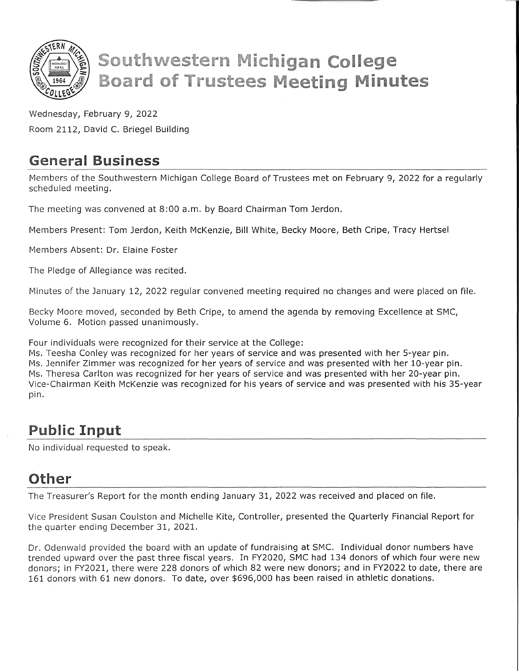

# **Southwestern Michigan College Board of Trustees Meeting Minutes**

Wednesday, February 9, 2022 Room 2112, David C. Briegel Building

#### General Business

Members of the Southwestern Michigan College Board of Trustees met on February 9, 2022 for a regularly scheduled meeting.

The meeting was convened at 8:00 a.m. by Board Chairman Tom Jerdon.

Members Present: Tom Jerdon, Keith McKenzie, Bill White, Becky Moore, Beth Cripe, Tracy Hertsel

Members Absent: Dr. Elaine Foster

The Pledge of Allegiance was recited.

Minutes of the January 12, 2022 regular convened meeting required no changes and were placed on file.

Becky Moore moved, seconded by Beth Cripe, to amend the agenda by removing Excellence at SMC, Volume 6. Motion passed unanimously.

Four individuals were recognized for their service at the College:

Ms. Teesha Conley was recognized for her years of service and was presented with her 5-year pin. Ms. Jennifer Zimmer was recognized for her years of service and was presented with her 10-year pin. Ms. Theresa Carlton was recognized for her years of service and was presented with her 20-year pin. Vice-Chairman Keith McKenzie was recognized for his years of service and was presented with his 35-year pin.

#### Public **Input**

No individual requested to speak.

### Other

The Treasurer's Report for the month ending January 31, 2022 was received and placed on file.

Vice President Susan Coulston and Michelle Kite, Controller, presented the Quarterly Financial Report for the quarter ending December 31, 2021.

Dr. Odenwald provided the board with an update of fundraising at SMC. Individual donor numbers have trended upward over the past three fiscal years. In FY2020, SMC had 134 donors of which four were new donors; in FY2021, there were 228 donors of which 82 were new donors; and in FY2022 to date, there are 161 donors with 61 new donors. To date, over \$696,000 has been raised in athletic donations.